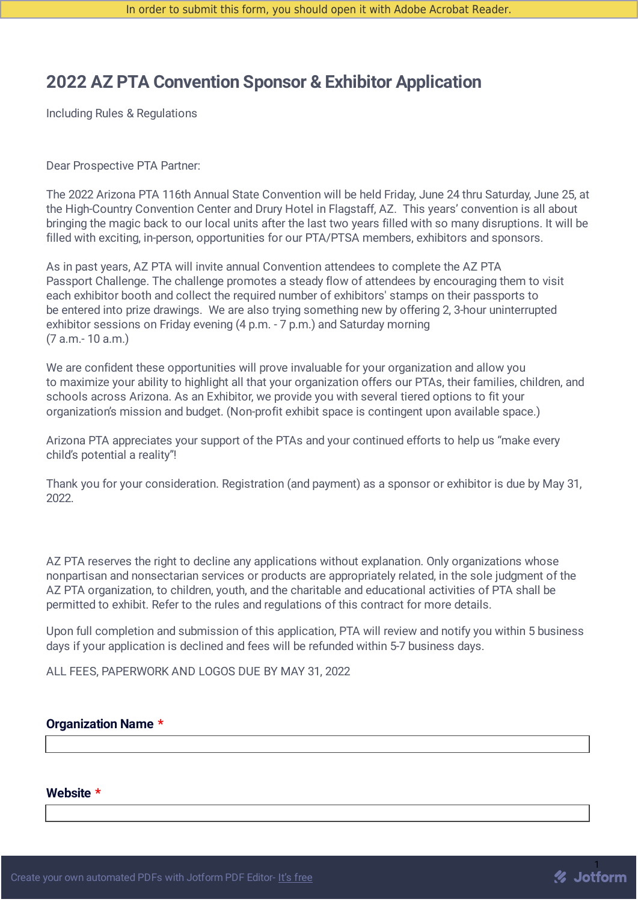# **2022 AZ PTA Convention Sponsor & Exhibitor Application**

Including Rules & Regulations

Dear Prospective PTA Partner:

The 2022 Arizona PTA 116th Annual State Convention will be held Friday, June 24 thru Saturday, June 25, at the High-Country Convention Center and Drury Hotel in Flagstaff, AZ. This years' convention is all about bringing the magic back to our local units after the last two years filled with so many disruptions. It will be filled with exciting, in-person, opportunities for our PTA/PTSA members, exhibitors and sponsors.

As in past years, AZ PTA will invite annual Convention attendees to complete the AZ PTA Passport Challenge. The challenge promotes a steady flow of attendees by encouraging them to visit each exhibitor booth and collect the required number of exhibitors' stamps on their passports to be entered into prize drawings. We are also trying something new by offering 2, 3-hour uninterrupted exhibitor sessions on Friday evening (4 p.m. - 7 p.m.) and Saturday morning (7 a.m.- 10 a.m.)

We are confident these opportunities will prove invaluable for your organization and allow you to maximize your ability to highlight all that your organization offers our PTAs, their families, children, and schools across Arizona. As an Exhibitor, we provide you with several tiered options to fit your organization's mission and budget. (Non-profit exhibit space is contingent upon available space.)

Arizona PTA appreciates your support of the PTAs and your continued efforts to help us "make every child's potential a reality"!

Thank you for your consideration. Registration (and payment) as a sponsor or exhibitor is due by May 31, 2022.

AZ PTA reserves the right to decline any applications without explanation. Only organizations whose nonpartisan and nonsectarian services or products are appropriately related, in the sole judgment of the AZ PTA organization, to children, youth, and the charitable and educational activities of PTA shall be permitted to exhibit. Refer to the rules and regulations of this contract for more details.

Upon full completion and submission of this application, PTA will review and notify you within 5 business days if your application is declined and fees will be refunded within 5-7 business days.

ALL FEES, PAPERWORK AND LOGOS DUE BY MAY 31, 2022

## **Organization Name \***

#### **Website \***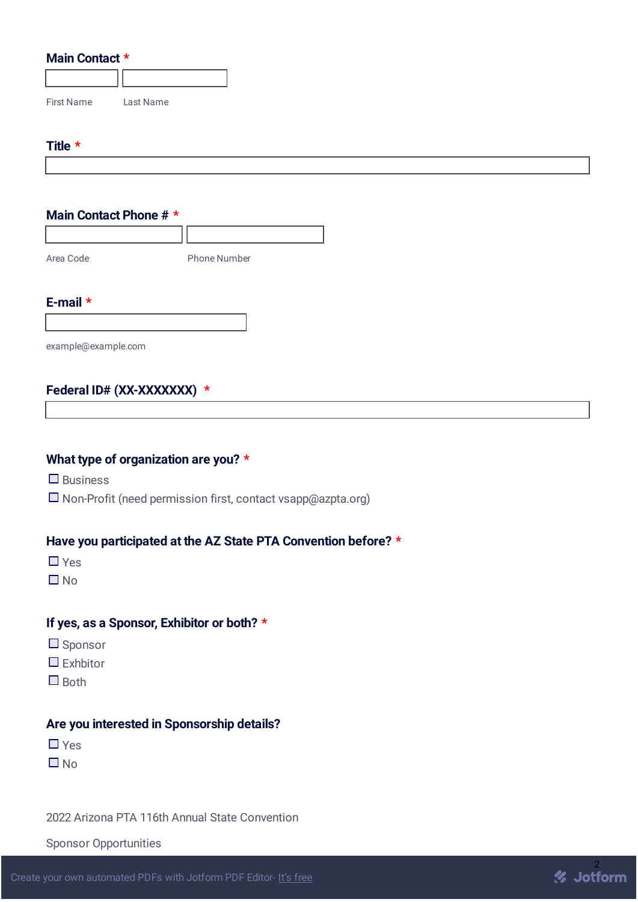## **Main Contact \***

| <b>First Name</b> | Last Name |
|-------------------|-----------|

#### **Title \***

## **Main Contact Phone # \***

Area Code Phone Number **E-mail \***

example@example.com

## **Federal ID# (XX-XXXXXXX) \***

## **What type of organization are you? \***

 $\Box$  Business

 $\square$  Non-Profit (need permission first, contact vsapp@azpta.org)

## **Have you participated at the AZ State PTA Convention before? \***

- Yes
- $\Box$  No

## **If yes, as a Sponsor, Exhibitor or both? \***

- $\square$  Sponsor
- $\Box$  Exhbitor
- $\Box$  Both

## **Are you interested in Sponsorship details?**

- Yes
- $\Box$  No

2022 Arizona PTA 116th Annual State Convention

Sponsor Opportunities

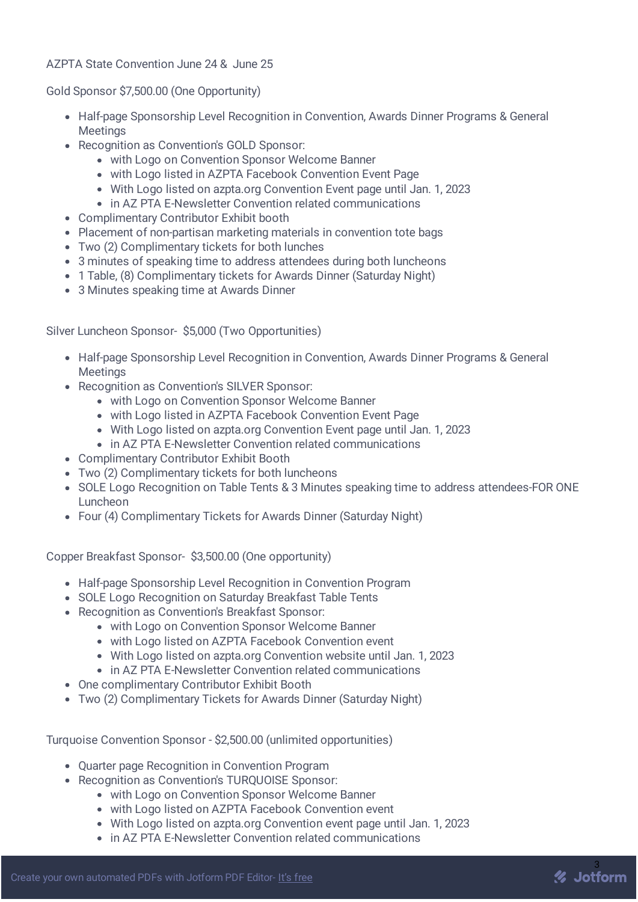## AZPTA State Convention June 24 & June 25

Gold Sponsor \$7,500.00 (One Opportunity)

- Half-page Sponsorship Level Recognition in Convention, Awards Dinner Programs & General **Meetings**
- Recognition as Convention's GOLD Sponsor:
	- with Logo on Convention Sponsor Welcome Banner
	- with Logo listed in AZPTA Facebook Convention Event Page
	- With Logo listed on azpta.org Convention Event page until Jan. 1, 2023
	- in AZ PTA E-Newsletter Convention related communications
- Complimentary Contributor Exhibit booth
- Placement of non-partisan marketing materials in convention tote bags
- Two (2) Complimentary tickets for both lunches
- 3 minutes of speaking time to address attendees during both luncheons
- 1 Table, (8) Complimentary tickets for Awards Dinner (Saturday Night)
- 3 Minutes speaking time at Awards Dinner

Silver Luncheon Sponsor- \$5,000 (Two Opportunities)

- Half-page Sponsorship Level Recognition in Convention, Awards Dinner Programs & General **Meetings**
- Recognition as Convention's SILVER Sponsor:
	- with Logo on Convention Sponsor Welcome Banner
	- with Logo listed in AZPTA Facebook Convention Event Page
	- With Logo listed on azpta.org Convention Event page until Jan. 1, 2023
	- in AZ PTA E-Newsletter Convention related communications
- Complimentary Contributor Exhibit Booth
- Two (2) Complimentary tickets for both luncheons
- SOLE Logo Recognition on Table Tents & 3 Minutes speaking time to address attendees-FOR ONE Luncheon
- Four (4) Complimentary Tickets for Awards Dinner (Saturday Night)

Copper Breakfast Sponsor- \$3,500.00 (One opportunity)

- Half-page Sponsorship Level Recognition in Convention Program
- SOLE Logo Recognition on Saturday Breakfast Table Tents
- Recognition as Convention's Breakfast Sponsor:
	- with Logo on Convention Sponsor Welcome Banner
	- with Logo listed on AZPTA Facebook Convention event
	- With Logo listed on azpta.org Convention website until Jan. 1, 2023
	- in AZ PTA E-Newsletter Convention related communications
- One complimentary Contributor Exhibit Booth
- Two (2) Complimentary Tickets for Awards Dinner (Saturday Night)

Turquoise Convention Sponsor - \$2,500.00 (unlimited opportunities)

- Quarter page Recognition in Convention Program
- Recognition as Convention's TUROUOISE Sponsor:
	- with Logo on Convention Sponsor Welcome Banner
	- with Logo listed on AZPTA Facebook Convention event
	- With Logo listed on azpta.org Convention event page until Jan. 1, 2023
	- in AZ PTA E-Newsletter Convention related communications

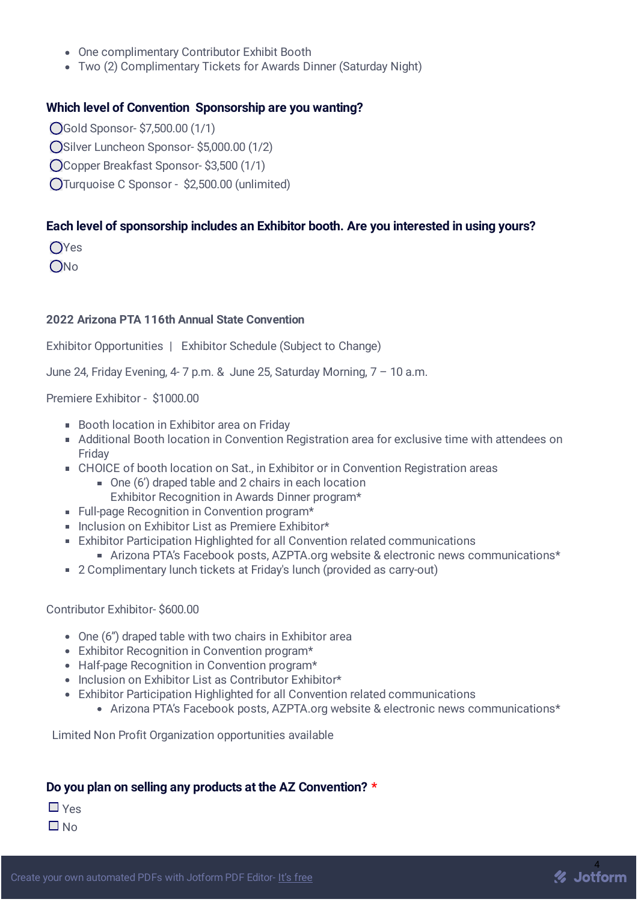- One complimentary Contributor Exhibit Booth
- Two (2) Complimentary Tickets for Awards Dinner (Saturday Night)

## **Which level of Convention Sponsorship are you wanting?**

- Gold Sponsor- \$7,500.00 (1/1)
- O Silver Luncheon Sponsor- \$5,000.00 (1/2)
- Copper Breakfast Sponsor- \$3,500 (1/1)
- Turquoise C Sponsor \$2,500.00 (unlimited)

## **Each level of sponsorship includes an Exhibitor booth. Are you interested in using yours?**

OYes

ONo

## **2022 Arizona PTA 116th Annual State Convention**

Exhibitor Opportunities | Exhibitor Schedule (Subject to Change)

June 24, Friday Evening, 4- 7 p.m. & June 25, Saturday Morning, 7 – 10 a.m.

## Premiere Exhibitor - \$1000.00

- Booth location in Exhibitor area on Friday
- Additional Booth location in Convention Registration area for exclusive time with attendees on Friday
- CHOICE of booth location on Sat., in Exhibitor or in Convention Registration areas
	- One (6') draped table and 2 chairs in each location Exhibitor Recognition in Awards Dinner program\*
- Full-page Recognition in Convention program\*
- Inclusion on Exhibitor List as Premiere Exhibitor\*
- Exhibitor Participation Highlighted for all Convention related communications
	- Arizona PTA's Facebook posts, AZPTA.org website & electronic news communications\*
- 2 Complimentary lunch tickets at Friday's lunch (provided as carry-out)

## Contributor Exhibitor- \$600.00

- One (6") draped table with two chairs in Exhibitor area
- Exhibitor Recognition in Convention program\*
- Half-page Recognition in Convention program\*
- Inclusion on Exhibitor List as Contributor Exhibitor\*
- Exhibitor Participation Highlighted for all Convention related communications
	- Arizona PTA's Facebook posts, AZPTA.org website & electronic news communications\*

Limited Non Profit Organization opportunities available

## **Do you plan on selling any products at the AZ Convention? \***

Yes

 $\Box$  No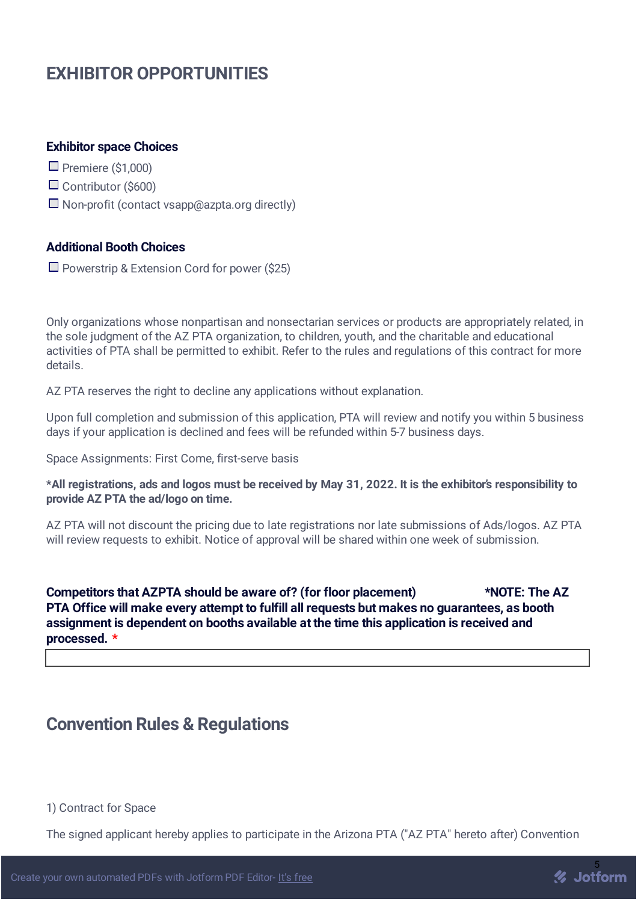# **EXHIBITOR OPPORTUNITIES**

#### **Exhibitor space Choices**

 $\Box$  Premiere (\$1,000)

- $\Box$  Contributor (\$600)
- $\square$  Non-profit (contact vsapp@azpta.org directly)

## **Additional Booth Choices**

 $\Box$  Powerstrip & Extension Cord for power (\$25)

Only organizations whose nonpartisan and nonsectarian services or products are appropriately related, in the sole judgment of the AZ PTA organization, to children, youth, and the charitable and educational activities of PTA shall be permitted to exhibit. Refer to the rules and regulations of this contract for more details.

AZ PTA reserves the right to decline any applications without explanation.

Upon full completion and submission of this application, PTA will review and notify you within 5 business days if your application is declined and fees will be refunded within 5-7 business days.

Space Assignments: First Come, first-serve basis

\*All registrations, ads and logos must be received by May 31, 2022. It is the exhibitor's responsibility to **provide AZ PTA the ad/logo on time.**

AZ PTA will not discount the pricing due to late registrations nor late submissions of Ads/logos. AZ PTA will review requests to exhibit. Notice of approval will be shared within one week of submission.

**Competitors that AZPTA should be aware of? (for floor placement) \*NOTE: The AZ PTA Office will make every attempt to fulfill all requests but makes no guarantees, as booth assignment is dependent on booths available at the time this application is received and processed. \***

## **Convention Rules & Regulations**

#### 1) Contract for Space

The signed applicant hereby applies to participate in the Arizona PTA ("AZ PTA" hereto after) Convention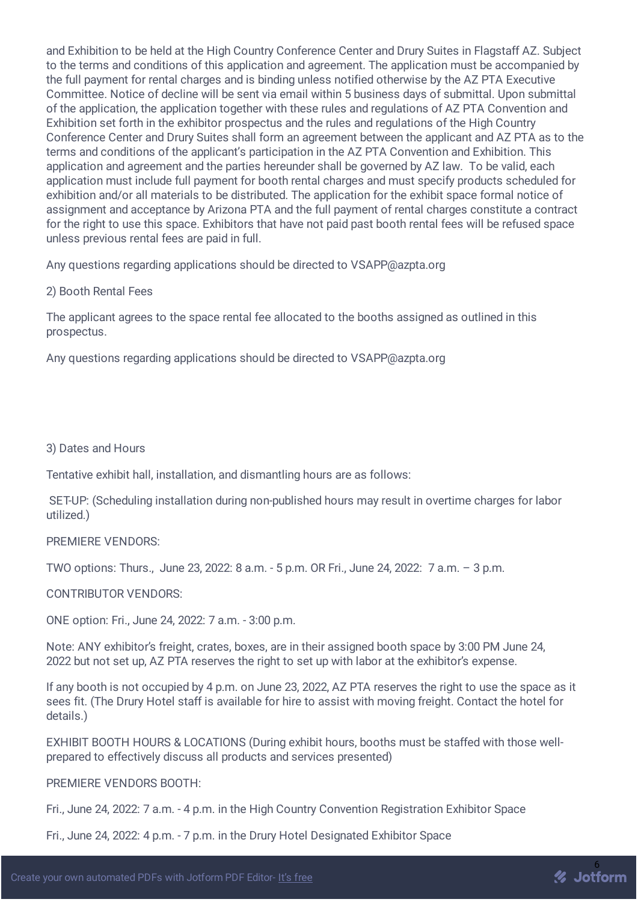and Exhibition to be held at the High Country Conference Center and Drury Suites in Flagstaff AZ. Subject to the terms and conditions of this application and agreement. The application must be accompanied by the full payment for rental charges and is binding unless notified otherwise by the AZ PTA Executive Committee. Notice of decline will be sent via email within 5 business days of submittal. Upon submittal of the application, the application together with these rules and regulations of AZ PTA Convention and Exhibition set forth in the exhibitor prospectus and the rules and regulations of the High Country Conference Center and Drury Suites shall form an agreement between the applicant and AZ PTA as to the terms and conditions of the applicant's participation in the AZ PTA Convention and Exhibition. This application and agreement and the parties hereunder shall be governed by AZ law. To be valid, each application must include full payment for booth rental charges and must specify products scheduled for exhibition and/or all materials to be distributed. The application for the exhibit space formal notice of assignment and acceptance by Arizona PTA and the full payment of rental charges constitute a contract for the right to use this space. Exhibitors that have not paid past booth rental fees will be refused space unless previous rental fees are paid in full.

Any questions regarding applications should be directed to VSAPP@azpta.org

2) Booth Rental Fees

The applicant agrees to the space rental fee allocated to the booths assigned as outlined in this prospectus.

Any questions regarding applications should be directed to VSAPP@azpta.org

3) Dates and Hours

Tentative exhibit hall, installation, and dismantling hours are as follows:

SET-UP: (Scheduling installation during non-published hours may result in overtime charges for labor utilized.)

PREMIERE VENDORS:

TWO options: Thurs., June 23, 2022: 8 a.m. - 5 p.m. OR Fri., June 24, 2022: 7 a.m. – 3 p.m.

CONTRIBUTOR VENDORS:

ONE option: Fri., June 24, 2022: 7 a.m. - 3:00 p.m.

Note: ANY exhibitor's freight, crates, boxes, are in their assigned booth space by 3:00 PM June 24, 2022 but not set up, AZ PTA reserves the right to set up with labor at the exhibitor's expense.

If any booth is not occupied by 4 p.m. on June 23, 2022, AZ PTA reserves the right to use the space as it sees fit. (The Drury Hotel staff is available for hire to assist with moving freight. Contact the hotel for details.)

EXHIBIT BOOTH HOURS & LOCATIONS (During exhibit hours, booths must be staffed with those wellprepared to effectively discuss all products and services presented)

PREMIERE VENDORS BOOTH:

Fri., June 24, 2022: 7 a.m. - 4 p.m. in the High Country Convention Registration Exhibitor Space

Fri., June 24, 2022: 4 p.m. - 7 p.m. in the Drury Hotel Designated Exhibitor Space

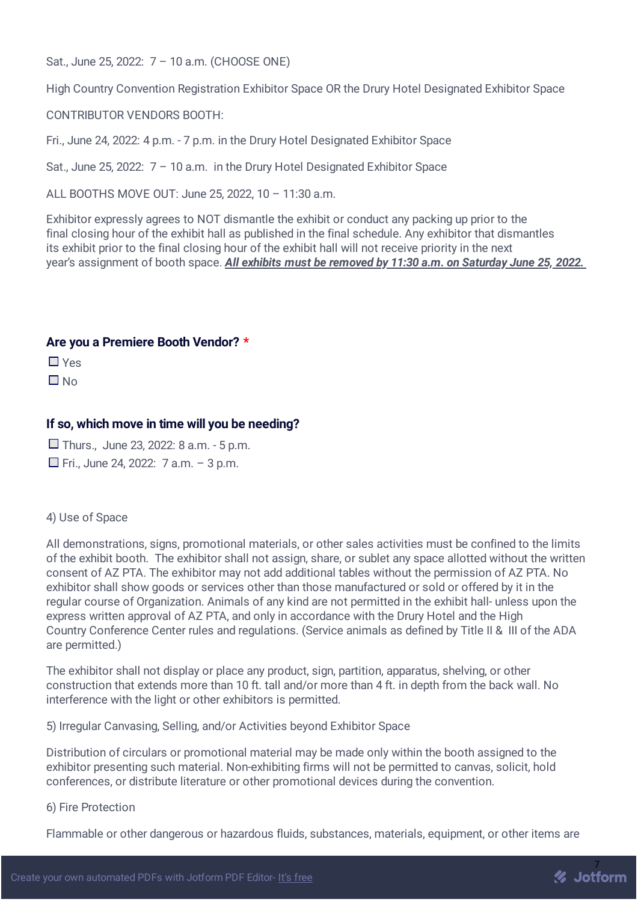Sat., June 25, 2022: 7 – 10 a.m. (CHOOSE ONE)

High Country Convention Registration Exhibitor Space OR the Drury Hotel Designated Exhibitor Space

CONTRIBUTOR VENDORS BOOTH:

Fri., June 24, 2022: 4 p.m. - 7 p.m. in the Drury Hotel Designated Exhibitor Space

Sat., June 25, 2022: 7 – 10 a.m. in the Drury Hotel Designated Exhibitor Space

ALL BOOTHS MOVE OUT: June 25, 2022, 10 – 11:30 a.m.

Exhibitor expressly agrees to NOT dismantle the exhibit or conduct any packing up prior to the final closing hour of the exhibit hall as published in the final schedule. Any exhibitor that dismantles its exhibit prior to the final closing hour of the exhibit hall will not receive priority in the next year's assignment of booth space. *All exhibits must be removed by 11:30 a.m. on Saturday June 25, 2022.*

## **Are you a Premiere Booth Vendor? \***

 $\prod$   $V_{\text{AC}}$ 

 $\Box$  No

## **If so, which move in time will you be needing?**

 $\Box$  Thurs., June 23, 2022: 8 a.m. - 5 p.m.

 $\Box$  Fri., June 24, 2022: 7 a.m. - 3 p.m.

#### 4) Use of Space

All demonstrations, signs, promotional materials, or other sales activities must be confined to the limits of the exhibit booth. The exhibitor shall not assign, share, or sublet any space allotted without the written consent of AZ PTA. The exhibitor may not add additional tables without the permission of AZ PTA. No exhibitor shall show goods or services other than those manufactured or sold or offered by it in the regular course of Organization. Animals of any kind are not permitted in the exhibit hall- unless upon the express written approval of AZ PTA, and only in accordance with the Drury Hotel and the High Country Conference Center rules and regulations. (Service animals as defined by Title II & III of the ADA are permitted.)

The exhibitor shall not display or place any product, sign, partition, apparatus, shelving, or other construction that extends more than 10 ft. tall and/or more than 4 ft. in depth from the back wall. No interference with the light or other exhibitors is permitted.

5) Irregular Canvasing, Selling, and/or Activities beyond Exhibitor Space

Distribution of circulars or promotional material may be made only within the booth assigned to the exhibitor presenting such material. Non-exhibiting firms will not be permitted to canvas, solicit, hold conferences, or distribute literature or other promotional devices during the convention.

#### 6) Fire Protection

Flammable or other dangerous or hazardous fluids, substances, materials, equipment, or other items are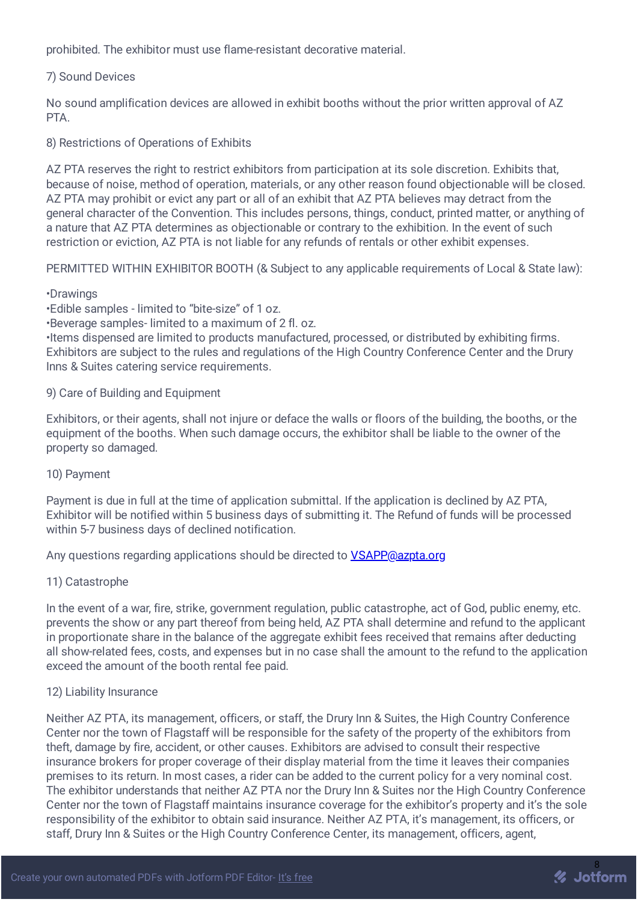prohibited. The exhibitor must use flame-resistant decorative material.

## 7) Sound Devices

No sound amplification devices are allowed in exhibit booths without the prior written approval of AZ **PTA** 

8) Restrictions of Operations of Exhibits

AZ PTA reserves the right to restrict exhibitors from participation at its sole discretion. Exhibits that, because of noise, method of operation, materials, or any other reason found objectionable will be closed. AZ PTA may prohibit or evict any part or all of an exhibit that AZ PTA believes may detract from the general character of the Convention. This includes persons, things, conduct, printed matter, or anything of a nature that AZ PTA determines as objectionable or contrary to the exhibition. In the event of such restriction or eviction, AZ PTA is not liable for any refunds of rentals or other exhibit expenses.

PERMITTED WITHIN EXHIBITOR BOOTH (& Subject to any applicable requirements of Local & State law):

#### •Drawings

•Edible samples - limited to "bite-size" of 1 oz.

•Beverage samples- limited to a maximum of 2 fl. oz.

•Items dispensed are limited to products manufactured, processed, or distributed by exhibiting firms. Exhibitors are subject to the rules and regulations of the High Country Conference Center and the Drury Inns & Suites catering service requirements.

#### 9) Care of Building and Equipment

Exhibitors, or their agents, shall not injure or deface the walls or floors of the building, the booths, or the equipment of the booths. When such damage occurs, the exhibitor shall be liable to the owner of the property so damaged.

## 10) Payment

Payment is due in full at the time of application submittal. If the application is declined by AZ PTA, Exhibitor will be notified within 5 business days of submitting it. The Refund of funds will be processed within 5-7 business days of declined notification.

Any questions regarding applications should be directed to [VSAPP@azpta.org](mailto:VSAPP@azpta.org)

## 11) Catastrophe

In the event of a war, fire, strike, government regulation, public catastrophe, act of God, public enemy, etc. prevents the show or any part thereof from being held, AZ PTA shall determine and refund to the applicant in proportionate share in the balance of the aggregate exhibit fees received that remains after deducting all show-related fees, costs, and expenses but in no case shall the amount to the refund to the application exceed the amount of the booth rental fee paid.

#### 12) Liability Insurance

Neither AZ PTA, its management, officers, or staff, the Drury Inn & Suites, the High Country Conference Center nor the town of Flagstaff will be responsible for the safety of the property of the exhibitors from theft, damage by fire, accident, or other causes. Exhibitors are advised to consult their respective insurance brokers for proper coverage of their display material from the time it leaves their companies premises to its return. In most cases, a rider can be added to the current policy for a very nominal cost. The exhibitor understands that neither AZ PTA nor the Drury Inn & Suites nor the High Country Conference Center nor the town of Flagstaff maintains insurance coverage for the exhibitor's property and it's the sole responsibility of the exhibitor to obtain said insurance. Neither AZ PTA, it's management, its officers, or staff, Drury Inn & Suites or the High Country Conference Center, its management, officers, agent,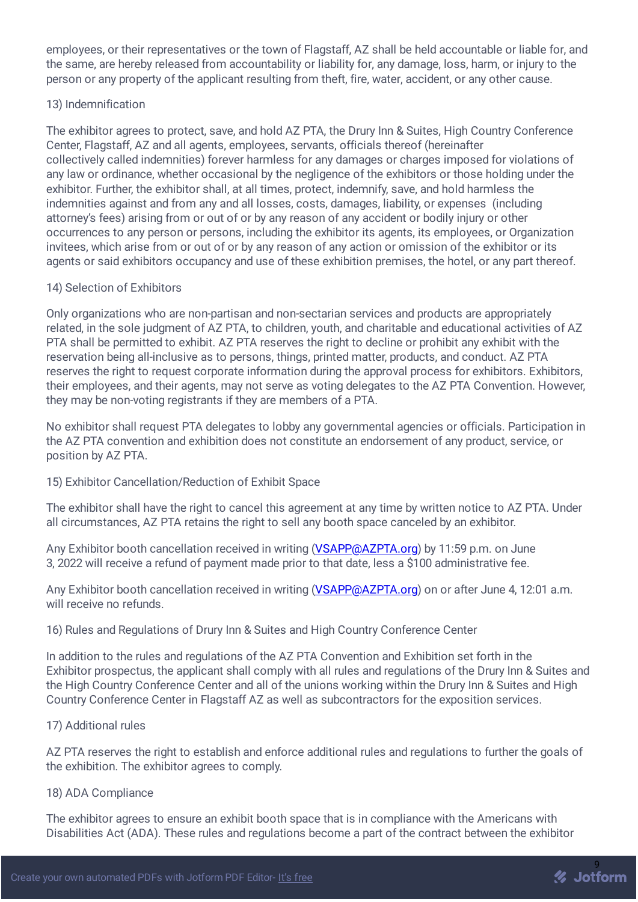employees, or their representatives or the town of Flagstaff, AZ shall be held accountable or liable for, and the same, are hereby released from accountability or liability for, any damage, loss, harm, or injury to the person or any property of the applicant resulting from theft, fire, water, accident, or any other cause.

## 13) Indemnification

The exhibitor agrees to protect, save, and hold AZ PTA, the Drury Inn & Suites, High Country Conference Center, Flagstaff, AZ and all agents, employees, servants, officials thereof (hereinafter collectively called indemnities) forever harmless for any damages or charges imposed for violations of any law or ordinance, whether occasional by the negligence of the exhibitors or those holding under the exhibitor. Further, the exhibitor shall, at all times, protect, indemnify, save, and hold harmless the indemnities against and from any and all losses, costs, damages, liability, or expenses (including attorney's fees) arising from or out of or by any reason of any accident or bodily injury or other occurrences to any person or persons, including the exhibitor its agents, its employees, or Organization invitees, which arise from or out of or by any reason of any action or omission of the exhibitor or its agents or said exhibitors occupancy and use of these exhibition premises, the hotel, or any part thereof.

## 14) Selection of Exhibitors

Only organizations who are non-partisan and non-sectarian services and products are appropriately related, in the sole judgment of AZ PTA, to children, youth, and charitable and educational activities of AZ PTA shall be permitted to exhibit. AZ PTA reserves the right to decline or prohibit any exhibit with the reservation being all-inclusive as to persons, things, printed matter, products, and conduct. AZ PTA reserves the right to request corporate information during the approval process for exhibitors. Exhibitors, their employees, and their agents, may not serve as voting delegates to the AZ PTA Convention. However, they may be non-voting registrants if they are members of a PTA.

No exhibitor shall request PTA delegates to lobby any governmental agencies or officials. Participation in the AZ PTA convention and exhibition does not constitute an endorsement of any product, service, or position by AZ PTA.

## 15) Exhibitor Cancellation/Reduction of Exhibit Space

The exhibitor shall have the right to cancel this agreement at any time by written notice to AZ PTA. Under all circumstances, AZ PTA retains the right to sell any booth space canceled by an exhibitor.

Any Exhibitor booth cancellation received in writing [\(VSAPP@AZPTA.org](mailto:VSAPP@AZPTA.org)) by 11:59 p.m. on June 3, 2022 will receive a refund of payment made prior to that date, less a \$100 administrative fee.

Any Exhibitor booth cancellation received in writing [\(VSAPP@AZPTA.org](mailto:VSAPP@AZPTA.org)) on or after June 4, 12:01 a.m. will receive no refunds.

16) Rules and Regulations of Drury Inn & Suites and High Country Conference Center

In addition to the rules and regulations of the AZ PTA Convention and Exhibition set forth in the Exhibitor prospectus, the applicant shall comply with all rules and regulations of the Drury Inn & Suites and the High Country Conference Center and all of the unions working within the Drury Inn & Suites and High Country Conference Center in Flagstaff AZ as well as subcontractors for the exposition services.

#### 17) Additional rules

AZ PTA reserves the right to establish and enforce additional rules and regulations to further the goals of the exhibition. The exhibitor agrees to comply.

#### 18) ADA Compliance

The exhibitor agrees to ensure an exhibit booth space that is in compliance with the Americans with Disabilities Act (ADA). These rules and regulations become a part of the contract between the exhibitor

% Jotform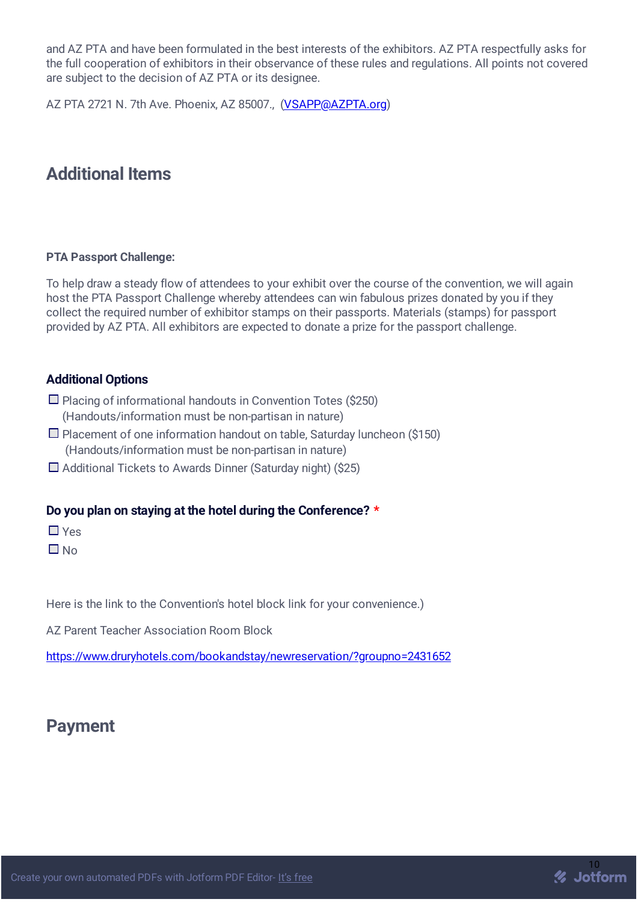and AZ PTA and have been formulated in the best interests of the exhibitors. AZ PTA respectfully asks for the full cooperation of exhibitors in their observance of these rules and regulations. All points not covered are subject to the decision of AZ PTA or its designee.

AZ PTA 2721 N. 7th Ave. Phoenix, AZ 85007., [\(VSAPP@AZPTA.org\)](mailto:VSAPP@AZPTA.org)

# **Additional Items**

## **PTA Passport Challenge:**

To help draw a steady flow of attendees to your exhibit over the course of the convention, we will again host the PTA Passport Challenge whereby attendees can win fabulous prizes donated by you if they collect the required number of exhibitor stamps on their passports. Materials (stamps) for passport provided by AZ PTA. All exhibitors are expected to donate a prize for the passport challenge.

## **Additional Options**

- $\Box$  Placing of informational handouts in Convention Totes (\$250) (Handouts/information must be non-partisan in nature)
- $\square$  Placement of one information handout on table, Saturday luncheon (\$150) (Handouts/information must be non-partisan in nature)
- $\Box$  Additional Tickets to Awards Dinner (Saturday night) (\$25)

## **Do you plan on staying at the hotel during the Conference? \***

■ Yes

 $\Box$  No

Here is the link to the Convention's hotel block link for your convenience.)

AZ Parent Teacher Association Room Block

<https://www.druryhotels.com/bookandstay/newreservation/?groupno=2431652>

# **Payment**